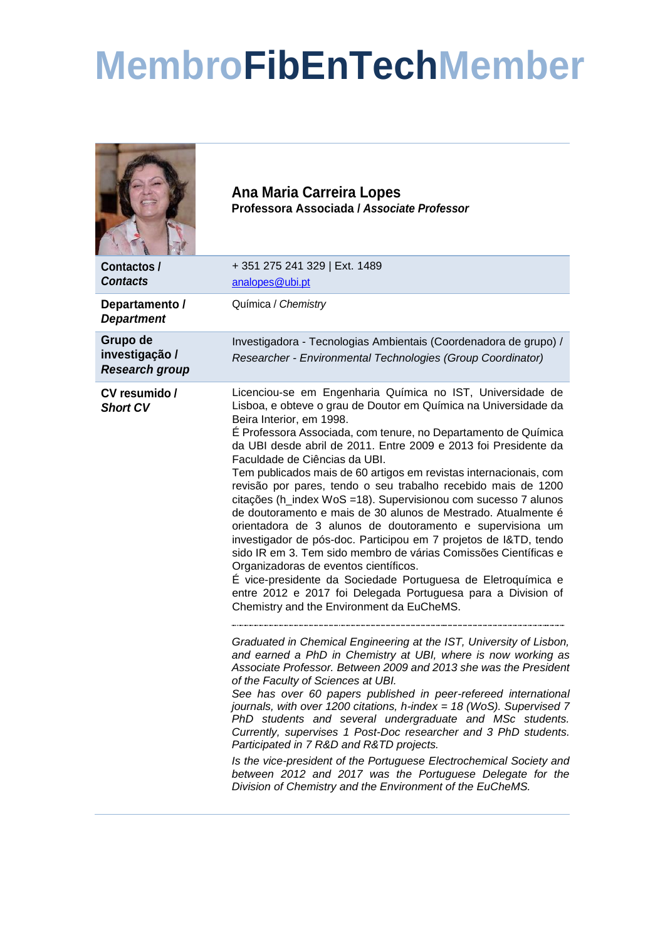## **MembroFibEnTechMember**

|                                                     | Ana Maria Carreira Lopes<br>Professora Associada / Associate Professor                                                                                                                                                                                                                                                                                                                                                                                                                                                                                                                                                                                                                                                                                                                                                                                                                                                                                                                                                             |
|-----------------------------------------------------|------------------------------------------------------------------------------------------------------------------------------------------------------------------------------------------------------------------------------------------------------------------------------------------------------------------------------------------------------------------------------------------------------------------------------------------------------------------------------------------------------------------------------------------------------------------------------------------------------------------------------------------------------------------------------------------------------------------------------------------------------------------------------------------------------------------------------------------------------------------------------------------------------------------------------------------------------------------------------------------------------------------------------------|
| Contactos /<br><b>Contacts</b>                      | +351 275 241 329   Ext. 1489<br>analopes@ubi.pt                                                                                                                                                                                                                                                                                                                                                                                                                                                                                                                                                                                                                                                                                                                                                                                                                                                                                                                                                                                    |
| Departamento /<br><b>Department</b>                 | Química / Chemistry                                                                                                                                                                                                                                                                                                                                                                                                                                                                                                                                                                                                                                                                                                                                                                                                                                                                                                                                                                                                                |
| Grupo de<br>investigação /<br><b>Research group</b> | Investigadora - Tecnologias Ambientais (Coordenadora de grupo) /<br>Researcher - Environmental Technologies (Group Coordinator)                                                                                                                                                                                                                                                                                                                                                                                                                                                                                                                                                                                                                                                                                                                                                                                                                                                                                                    |
| CV resumido /<br><b>Short CV</b>                    | Licenciou-se em Engenharia Química no IST, Universidade de<br>Lisboa, e obteve o grau de Doutor em Química na Universidade da<br>Beira Interior, em 1998.<br>É Professora Associada, com tenure, no Departamento de Química<br>da UBI desde abril de 2011. Entre 2009 e 2013 foi Presidente da<br>Faculdade de Ciências da UBI.<br>Tem publicados mais de 60 artigos em revistas internacionais, com<br>revisão por pares, tendo o seu trabalho recebido mais de 1200<br>citações (h_index WoS =18). Supervisionou com sucesso 7 alunos<br>de doutoramento e mais de 30 alunos de Mestrado. Atualmente é<br>orientadora de 3 alunos de doutoramento e supervisiona um<br>investigador de pós-doc. Participou em 7 projetos de I&TD, tendo<br>sido IR em 3. Tem sido membro de várias Comissões Científicas e<br>Organizadoras de eventos científicos.<br>É vice-presidente da Sociedade Portuguesa de Eletroquímica e<br>entre 2012 e 2017 foi Delegada Portuguesa para a Division of<br>Chemistry and the Environment da EuCheMS. |
|                                                     | Graduated in Chemical Engineering at the IST, University of Lisbon,<br>and earned a PhD in Chemistry at UBI, where is now working as<br>Associate Professor. Between 2009 and 2013 she was the President<br>of the Faculty of Sciences at UBI.<br>See has over 60 papers published in peer-refereed international<br>journals, with over 1200 citations, h-index = $18$ (WoS). Supervised 7<br>PhD students and several undergraduate and MSc students.<br>Currently, supervises 1 Post-Doc researcher and 3 PhD students.<br>Participated in 7 R&D and R&TD projects.<br>Is the vice-president of the Portuguese Electrochemical Society and<br>between 2012 and 2017 was the Portuguese Delegate for the<br>Division of Chemistry and the Environment of the EuCheMS.                                                                                                                                                                                                                                                            |
|                                                     |                                                                                                                                                                                                                                                                                                                                                                                                                                                                                                                                                                                                                                                                                                                                                                                                                                                                                                                                                                                                                                    |